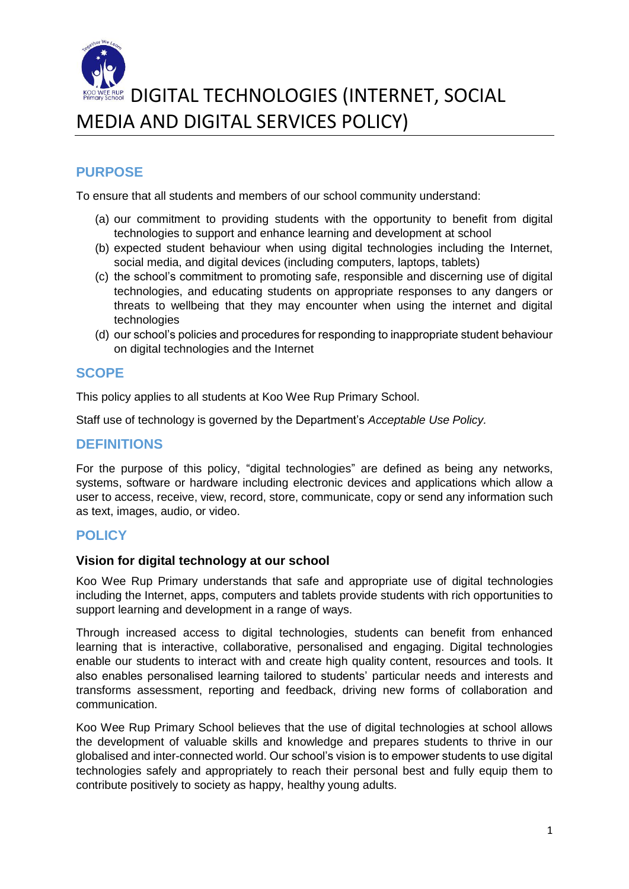

# **ERUP DIGITAL TECHNOLOGIES (INTERNET, SOCIAL** MEDIA AND DIGITAL SERVICES POLICY)

### **PURPOSE**

To ensure that all students and members of our school community understand:

- (a) our commitment to providing students with the opportunity to benefit from digital technologies to support and enhance learning and development at school
- (b) expected student behaviour when using digital technologies including the Internet, social media, and digital devices (including computers, laptops, tablets)
- (c) the school's commitment to promoting safe, responsible and discerning use of digital technologies, and educating students on appropriate responses to any dangers or threats to wellbeing that they may encounter when using the internet and digital technologies
- (d) our school's policies and procedures for responding to inappropriate student behaviour on digital technologies and the Internet

#### **SCOPE**

This policy applies to all students at Koo Wee Rup Primary School.

Staff use of technology is governed by the Department's *Acceptable Use Policy.*

#### **DEFINITIONS**

For the purpose of this policy, "digital technologies" are defined as being any networks, systems, software or hardware including electronic devices and applications which allow a user to access, receive, view, record, store, communicate, copy or send any information such as text, images, audio, or video.

#### **POLICY**

#### **Vision for digital technology at our school**

Koo Wee Rup Primary understands that safe and appropriate use of digital technologies including the Internet, apps, computers and tablets provide students with rich opportunities to support learning and development in a range of ways.

Through increased access to digital technologies, students can benefit from enhanced learning that is interactive, collaborative, personalised and engaging. Digital technologies enable our students to interact with and create high quality content, resources and tools. It also enables personalised learning tailored to students' particular needs and interests and transforms assessment, reporting and feedback, driving new forms of collaboration and communication.

Koo Wee Rup Primary School believes that the use of digital technologies at school allows the development of valuable skills and knowledge and prepares students to thrive in our globalised and inter-connected world. Our school's vision is to empower students to use digital technologies safely and appropriately to reach their personal best and fully equip them to contribute positively to society as happy, healthy young adults.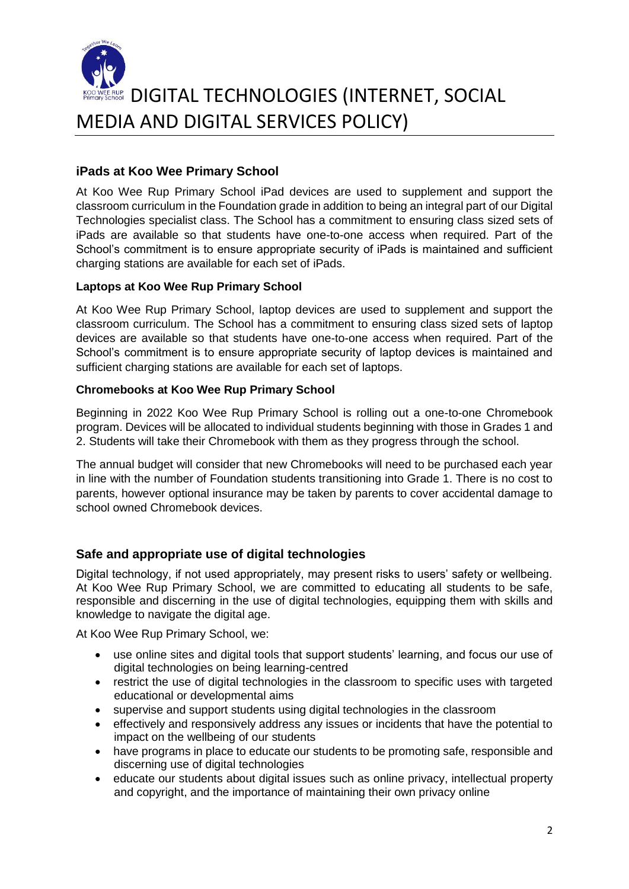

# **RUP DIGITAL TECHNOLOGIES (INTERNET, SOCIAL** MEDIA AND DIGITAL SERVICES POLICY)

#### **iPads at Koo Wee Primary School**

At Koo Wee Rup Primary School iPad devices are used to supplement and support the classroom curriculum in the Foundation grade in addition to being an integral part of our Digital Technologies specialist class. The School has a commitment to ensuring class sized sets of iPads are available so that students have one-to-one access when required. Part of the School's commitment is to ensure appropriate security of iPads is maintained and sufficient charging stations are available for each set of iPads.

#### **Laptops at Koo Wee Rup Primary School**

At Koo Wee Rup Primary School, laptop devices are used to supplement and support the classroom curriculum. The School has a commitment to ensuring class sized sets of laptop devices are available so that students have one-to-one access when required. Part of the School's commitment is to ensure appropriate security of laptop devices is maintained and sufficient charging stations are available for each set of laptops.

#### **Chromebooks at Koo Wee Rup Primary School**

Beginning in 2022 Koo Wee Rup Primary School is rolling out a one-to-one Chromebook program. Devices will be allocated to individual students beginning with those in Grades 1 and 2. Students will take their Chromebook with them as they progress through the school.

The annual budget will consider that new Chromebooks will need to be purchased each year in line with the number of Foundation students transitioning into Grade 1. There is no cost to parents, however optional insurance may be taken by parents to cover accidental damage to school owned Chromebook devices.

#### **Safe and appropriate use of digital technologies**

Digital technology, if not used appropriately, may present risks to users' safety or wellbeing. At Koo Wee Rup Primary School, we are committed to educating all students to be safe, responsible and discerning in the use of digital technologies, equipping them with skills and knowledge to navigate the digital age.

At Koo Wee Rup Primary School, we:

- use online sites and digital tools that support students' learning, and focus our use of digital technologies on being learning-centred
- restrict the use of digital technologies in the classroom to specific uses with targeted educational or developmental aims
- supervise and support students using digital technologies in the classroom
- effectively and responsively address any issues or incidents that have the potential to impact on the wellbeing of our students
- have programs in place to educate our students to be promoting safe, responsible and discerning use of digital technologies
- educate our students about digital issues such as online privacy, intellectual property and copyright, and the importance of maintaining their own privacy online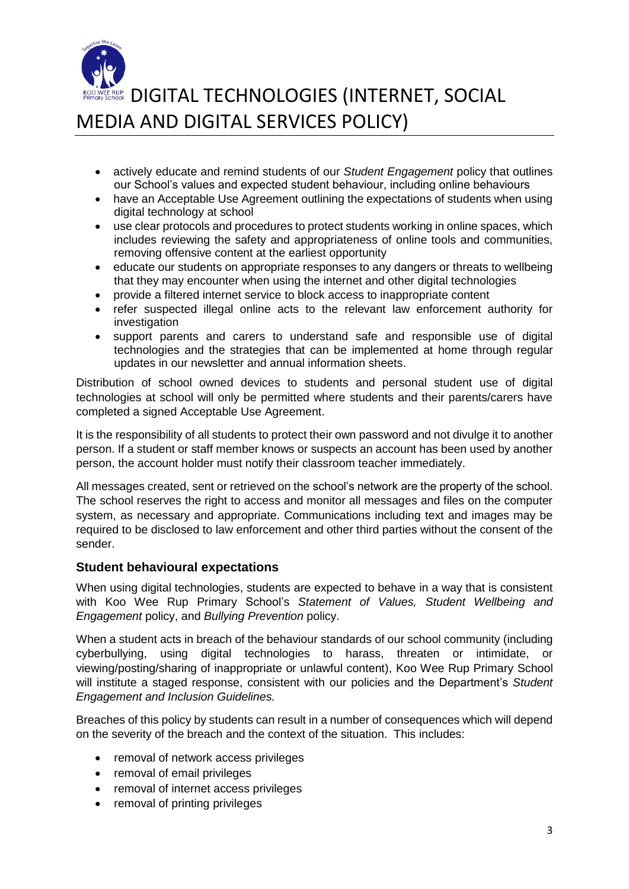

**ERUP DIGITAL TECHNOLOGIES (INTERNET, SOCIAL** MEDIA AND DIGITAL SERVICES POLICY)

- actively educate and remind students of our *Student Engagement* policy that outlines our School's values and expected student behaviour, including online behaviours
- have an Acceptable Use Agreement outlining the expectations of students when using digital technology at school
- use clear protocols and procedures to protect students working in online spaces, which includes reviewing the safety and appropriateness of online tools and communities, removing offensive content at the earliest opportunity
- educate our students on appropriate responses to any dangers or threats to wellbeing that they may encounter when using the internet and other digital technologies
- provide a filtered internet service to block access to inappropriate content
- refer suspected illegal online acts to the relevant law enforcement authority for investigation
- support parents and carers to understand safe and responsible use of digital technologies and the strategies that can be implemented at home through regular updates in our newsletter and annual information sheets.

Distribution of school owned devices to students and personal student use of digital technologies at school will only be permitted where students and their parents/carers have completed a signed Acceptable Use Agreement.

It is the responsibility of all students to protect their own password and not divulge it to another person. If a student or staff member knows or suspects an account has been used by another person, the account holder must notify their classroom teacher immediately.

All messages created, sent or retrieved on the school's network are the property of the school. The school reserves the right to access and monitor all messages and files on the computer system, as necessary and appropriate. Communications including text and images may be required to be disclosed to law enforcement and other third parties without the consent of the sender.

#### **Student behavioural expectations**

When using digital technologies, students are expected to behave in a way that is consistent with Koo Wee Rup Primary School's *Statement of Values, Student Wellbeing and Engagement* policy, and *Bullying Prevention* policy.

When a student acts in breach of the behaviour standards of our school community (including cyberbullying, using digital technologies to harass, threaten or intimidate, or viewing/posting/sharing of inappropriate or unlawful content), Koo Wee Rup Primary School will institute a staged response, consistent with our policies and the Department's *Student Engagement and Inclusion Guidelines.*

Breaches of this policy by students can result in a number of consequences which will depend on the severity of the breach and the context of the situation. This includes:

- removal of network access privileges
- removal of email privileges
- removal of internet access privileges
- removal of printing privileges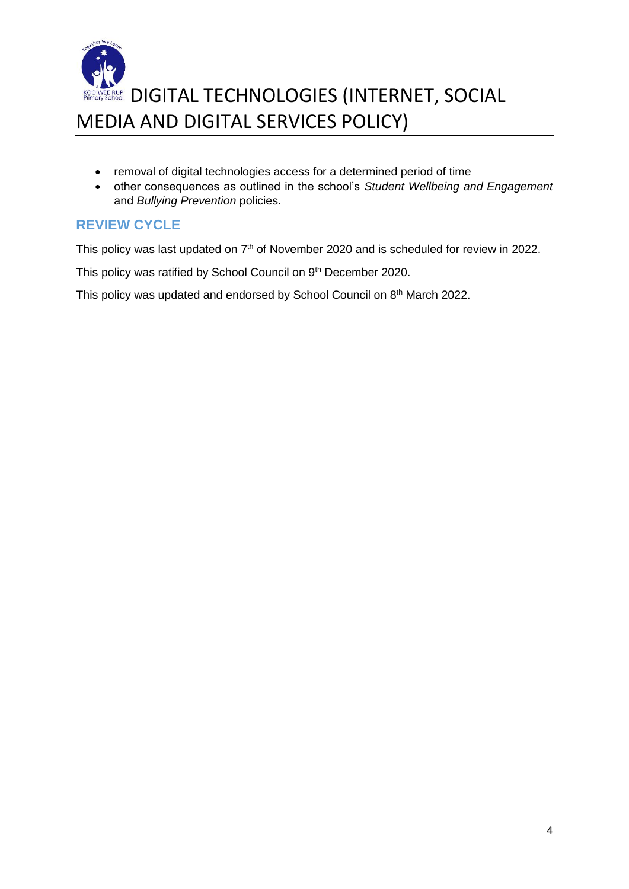

- removal of digital technologies access for a determined period of time
- other consequences as outlined in the school's *Student Wellbeing and Engagement* and *Bullying Prevention* policies.

#### **REVIEW CYCLE**

This policy was last updated on 7<sup>th</sup> of November 2020 and is scheduled for review in 2022.

This policy was ratified by School Council on 9<sup>th</sup> December 2020.

This policy was updated and endorsed by School Council on 8<sup>th</sup> March 2022.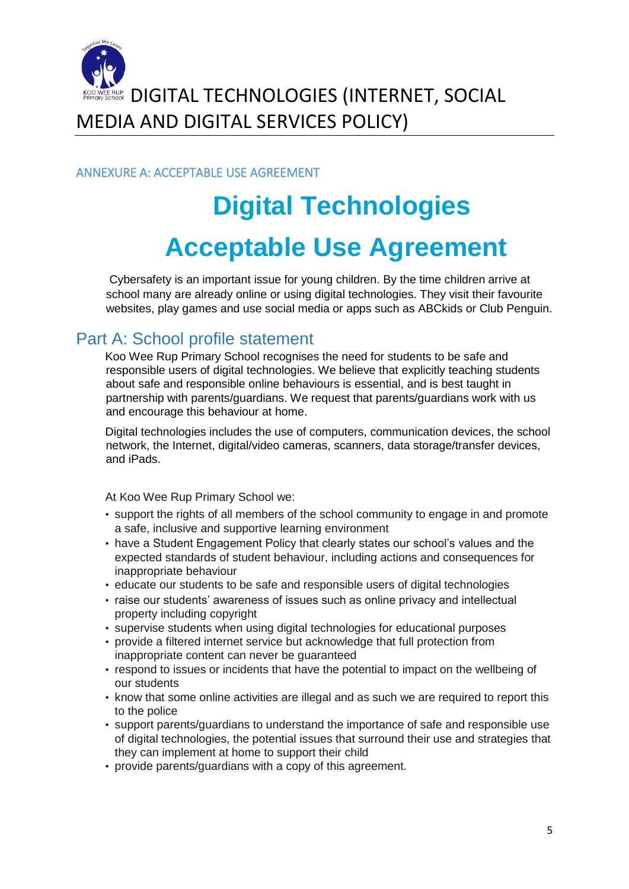

RUP DIGITAL TECHNOLOGIES (INTERNET, SOCIAL MEDIA AND DIGITAL SERVICES POLICY)

ANNEXURE A: ACCEPTABLE USE AGREEMENT

# **Digital Technologies Acceptable Use Agreement**

Cybersafety is an important issue for young children. By the time children arrive at school many are already online or using digital technologies. They visit their favourite websites, play games and use social media or apps such as ABCkids or Club Penguin.

## Part A: School profile statement

Koo Wee Rup Primary School recognises the need for students to be safe and responsible users of digital technologies. We believe that explicitly teaching students about safe and responsible online behaviours is essential, and is best taught in partnership with parents/guardians. We request that parents/guardians work with us and encourage this behaviour at home.

Digital technologies includes the use of computers, communication devices, the school network, the Internet, digital/video cameras, scanners, data storage/transfer devices, and iPads.

At Koo Wee Rup Primary School we:

- support the rights of all members of the school community to engage in and promote a safe, inclusive and supportive learning environment
- have a Student Engagement Policy that clearly states our school's values and the expected standards of student behaviour, including actions and consequences for inappropriate behaviour
- educate our students to be safe and responsible users of digital technologies
- raise our students' awareness of issues such as online privacy and intellectual property including copyright
- supervise students when using digital technologies for educational purposes
- provide a filtered internet service but acknowledge that full protection from inappropriate content can never be guaranteed
- respond to issues or incidents that have the potential to impact on the wellbeing of our students
- know that some online activities are illegal and as such we are required to report this to the police
- support parents/guardians to understand the importance of safe and responsible use of digital technologies, the potential issues that surround their use and strategies that they can implement at home to support their child
- provide parents/guardians with a copy of this agreement.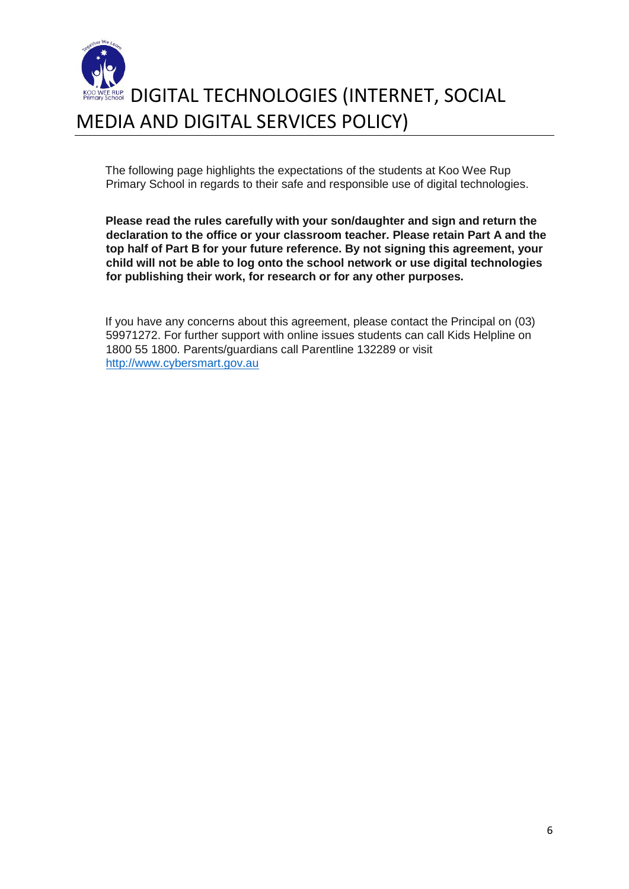

The following page highlights the expectations of the students at Koo Wee Rup Primary School in regards to their safe and responsible use of digital technologies.

**Please read the rules carefully with your son/daughter and sign and return the declaration to the office or your classroom teacher. Please retain Part A and the top half of Part B for your future reference. By not signing this agreement, your child will not be able to log onto the school network or use digital technologies for publishing their work, for research or for any other purposes.** 

If you have any concerns about this agreement, please contact the Principal on (03) 59971272. For further support with online issues students can call Kids Helpline on 1800 55 1800. Parents/guardians call Parentline 132289 or visit [http://www.cybersmart.gov.au](http://www.cybersmart.gov.au/)